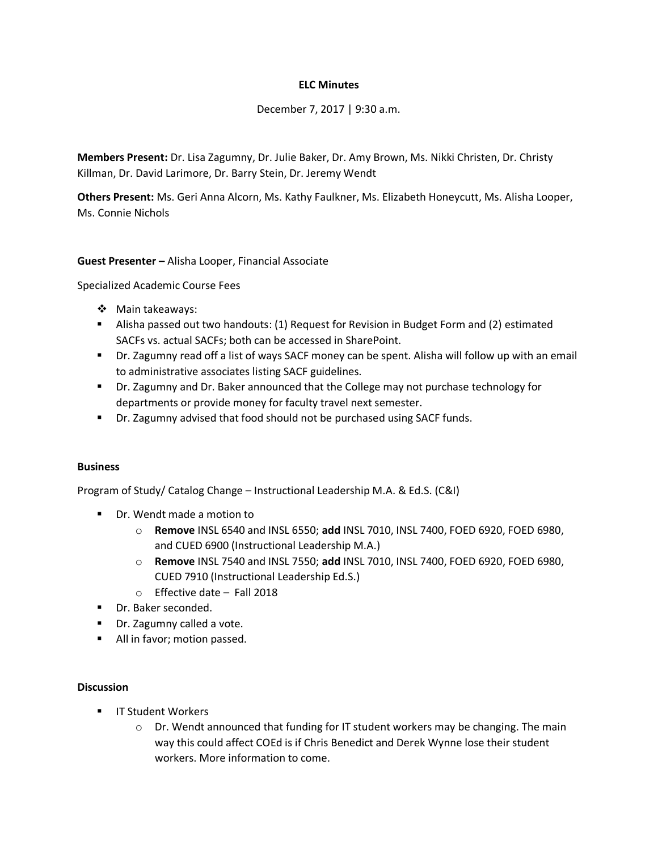## **ELC Minutes**

December 7, 2017 | 9:30 a.m.

**Members Present:** Dr. Lisa Zagumny, Dr. Julie Baker, Dr. Amy Brown, Ms. Nikki Christen, Dr. Christy Killman, Dr. David Larimore, Dr. Barry Stein, Dr. Jeremy Wendt

**Others Present:** Ms. Geri Anna Alcorn, Ms. Kathy Faulkner, Ms. Elizabeth Honeycutt, Ms. Alisha Looper, Ms. Connie Nichols

**Guest Presenter –** Alisha Looper, Financial Associate

Specialized Academic Course Fees

- ❖ Main takeaways:
- Alisha passed out two handouts: (1) Request for Revision in Budget Form and (2) estimated SACFs vs. actual SACFs; both can be accessed in SharePoint.
- Dr. Zagumny read off a list of ways SACF money can be spent. Alisha will follow up with an email to administrative associates listing SACF guidelines.
- Dr. Zagumny and Dr. Baker announced that the College may not purchase technology for departments or provide money for faculty travel next semester.
- Dr. Zagumny advised that food should not be purchased using SACF funds.

## **Business**

Program of Study/ Catalog Change – Instructional Leadership M.A. & Ed.S. (C&I)

- Dr. Wendt made a motion to
	- o **Remove** INSL 6540 and INSL 6550; **add** INSL 7010, INSL 7400, FOED 6920, FOED 6980, and CUED 6900 (Instructional Leadership M.A.)
	- o **Remove** INSL 7540 and INSL 7550; **add** INSL 7010, INSL 7400, FOED 6920, FOED 6980, CUED 7910 (Instructional Leadership Ed.S.)
	- o Effective date Fall 2018
- **Dr. Baker seconded.**
- **Dr.** Zagumny called a vote.
- All in favor; motion passed.

## **Discussion**

- **IF Student Workers** 
	- $\circ$  Dr. Wendt announced that funding for IT student workers may be changing. The main way this could affect COEd is if Chris Benedict and Derek Wynne lose their student workers. More information to come.